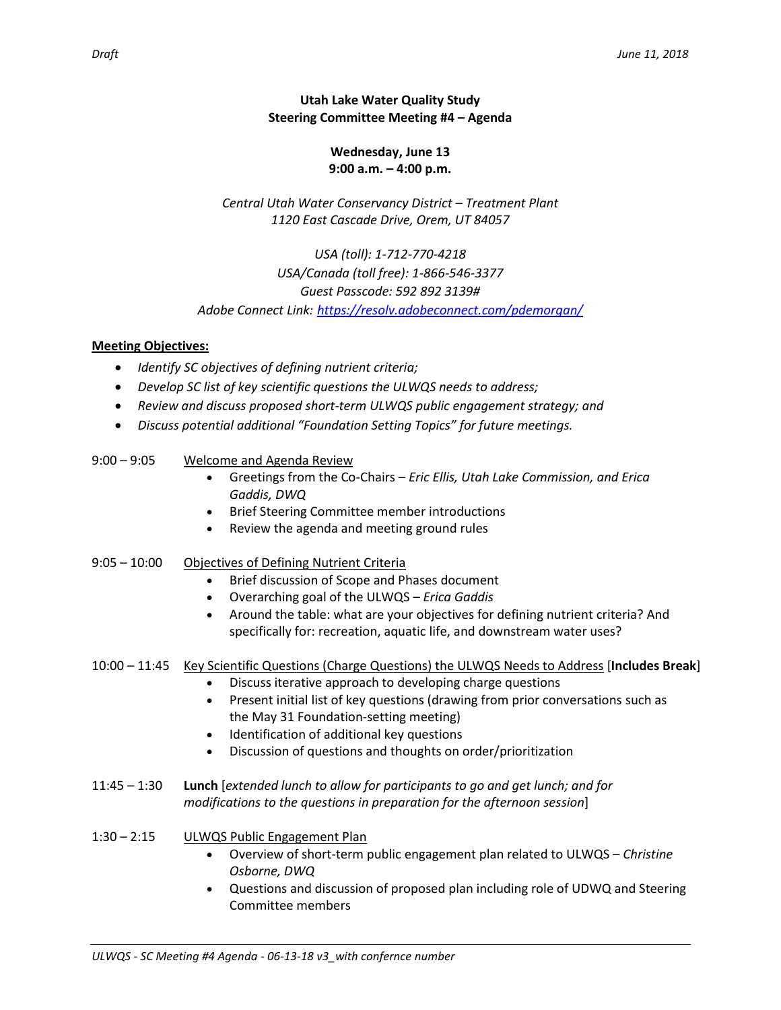## **Utah Lake Water Quality Study Steering Committee Meeting #4 – Agenda**

### **Wednesday, June 13 9:00 a.m. – 4:00 p.m.**

*Central Utah Water Conservancy District – Treatment Plant 1120 East Cascade Drive, Orem, UT 84057*

*USA (toll): 1-712-770-4218 USA/Canada (toll free): 1-866-546-3377 Guest Passcode: 592 892 3139# Adobe Connect Link: <https://resolv.adobeconnect.com/pdemorgan/>*

### **Meeting Objectives:**

- *Identify SC objectives of defining nutrient criteria;*
- *Develop SC list of key scientific questions the ULWQS needs to address;*
- *Review and discuss proposed short-term ULWQS public engagement strategy; and*
- *Discuss potential additional "Foundation Setting Topics" for future meetings.*

# 9:00 – 9:05 Welcome and Agenda Review

- Greetings from the Co-Chairs *Eric Ellis, Utah Lake Commission, and Erica Gaddis, DWQ*
- Brief Steering Committee member introductions
- Review the agenda and meeting ground rules
- 9:05 10:00 Objectives of Defining Nutrient Criteria
	- Brief discussion of Scope and Phases document
	- Overarching goal of the ULWQS *Erica Gaddis*
	- Around the table: what are your objectives for defining nutrient criteria? And specifically for: recreation, aquatic life, and downstream water uses?

### 10:00 – 11:45 Key Scientific Questions (Charge Questions) the ULWQS Needs to Address [**Includes Break**]

- Discuss iterative approach to developing charge questions
- Present initial list of key questions (drawing from prior conversations such as the May 31 Foundation-setting meeting)
- Identification of additional key questions
- Discussion of questions and thoughts on order/prioritization
- 11:45 1:30 **Lunch** [*extended lunch to allow for participants to go and get lunch; and for modifications to the questions in preparation for the afternoon session*]
- 1:30 2:15 ULWQS Public Engagement Plan
	- Overview of short-term public engagement plan related to ULWQS *Christine Osborne, DWQ*
	- Questions and discussion of proposed plan including role of UDWQ and Steering Committee members